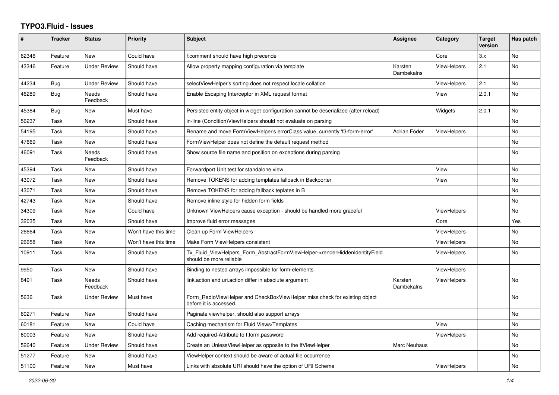## **TYPO3.Fluid - Issues**

| #     | <b>Tracker</b> | <b>Status</b>       | Priority             | <b>Subject</b>                                                                                         | Assignee              | Category           | <b>Target</b><br>version | Has patch      |
|-------|----------------|---------------------|----------------------|--------------------------------------------------------------------------------------------------------|-----------------------|--------------------|--------------------------|----------------|
| 62346 | Feature        | <b>New</b>          | Could have           | f:comment should have high precende                                                                    |                       | Core               | 3.x                      | N <sub>o</sub> |
| 43346 | Feature        | <b>Under Review</b> | Should have          | Allow property mapping configuration via template                                                      | Karsten<br>Dambekalns | <b>ViewHelpers</b> | 2.1                      | <b>No</b>      |
| 44234 | Bug            | <b>Under Review</b> | Should have          | selectViewHelper's sorting does not respect locale collation                                           |                       | ViewHelpers        | 2.1                      | <b>No</b>      |
| 46289 | Bug            | Needs<br>Feedback   | Should have          | Enable Escaping Interceptor in XML request format                                                      |                       | View               | 2.0.1                    | <b>No</b>      |
| 45384 | Bug            | New                 | Must have            | Persisted entity object in widget-configuration cannot be deserialized (after reload)                  |                       | Widgets            | 2.0.1                    | <b>No</b>      |
| 56237 | Task           | New                 | Should have          | in-line (Condition) View Helpers should not evaluate on parsing                                        |                       |                    |                          | No             |
| 54195 | Task           | <b>New</b>          | Should have          | Rename and move FormViewHelper's errorClass value, currently 'f3-form-error'                           | Adrian Föder          | <b>ViewHelpers</b> |                          | <b>No</b>      |
| 47669 | Task           | New                 | Should have          | FormViewHelper does not define the default request method                                              |                       |                    |                          | <b>No</b>      |
| 46091 | Task           | Needs<br>Feedback   | Should have          | Show source file name and position on exceptions during parsing                                        |                       |                    |                          | No             |
| 45394 | Task           | New                 | Should have          | Forwardport Unit test for standalone view                                                              |                       | View               |                          | No             |
| 43072 | Task           | New                 | Should have          | Remove TOKENS for adding templates fallback in Backporter                                              |                       | View               |                          | <b>No</b>      |
| 43071 | Task           | New                 | Should have          | Remove TOKENS for adding fallback teplates in B                                                        |                       |                    |                          | No             |
| 42743 | Task           | New                 | Should have          | Remove inline style for hidden form fields                                                             |                       |                    |                          | No             |
| 34309 | Task           | New                 | Could have           | Unknown ViewHelpers cause exception - should be handled more graceful                                  |                       | <b>ViewHelpers</b> |                          | <b>No</b>      |
| 32035 | Task           | New                 | Should have          | Improve fluid error messages                                                                           |                       | Core               |                          | Yes            |
| 26664 | Task           | New                 | Won't have this time | Clean up Form ViewHelpers                                                                              |                       | ViewHelpers        |                          | No             |
| 26658 | Task           | New                 | Won't have this time | Make Form ViewHelpers consistent                                                                       |                       | ViewHelpers        |                          | No             |
| 10911 | Task           | New                 | Should have          | Tx_Fluid_ViewHelpers_Form_AbstractFormViewHelper->renderHiddenIdentityField<br>should be more reliable |                       | <b>ViewHelpers</b> |                          | <b>No</b>      |
| 9950  | Task           | <b>New</b>          | Should have          | Binding to nested arrays impossible for form-elements                                                  |                       | <b>ViewHelpers</b> |                          |                |
| 8491  | Task           | Needs<br>Feedback   | Should have          | link.action and uri.action differ in absolute argument                                                 | Karsten<br>Dambekalns | ViewHelpers        |                          | No             |
| 5636  | Task           | Under Review        | Must have            | Form_RadioViewHelper and CheckBoxViewHelper miss check for existing object<br>before it is accessed.   |                       |                    |                          | No             |
| 60271 | Feature        | <b>New</b>          | Should have          | Paginate viewhelper, should also support arrays                                                        |                       |                    |                          | No.            |
| 60181 | Feature        | New                 | Could have           | Caching mechanism for Fluid Views/Templates                                                            |                       | View               |                          | No             |
| 60003 | Feature        | <b>New</b>          | Should have          | Add required-Attribute to f:form.password                                                              |                       | ViewHelpers        |                          | <b>No</b>      |
| 52640 | Feature        | <b>Under Review</b> | Should have          | Create an UnlessViewHelper as opposite to the IfViewHelper                                             | Marc Neuhaus          |                    |                          | No             |
| 51277 | Feature        | New                 | Should have          | ViewHelper context should be aware of actual file occurrence                                           |                       |                    |                          | No             |
| 51100 | Feature        | New                 | Must have            | Links with absolute URI should have the option of URI Scheme                                           |                       | ViewHelpers        |                          | <b>No</b>      |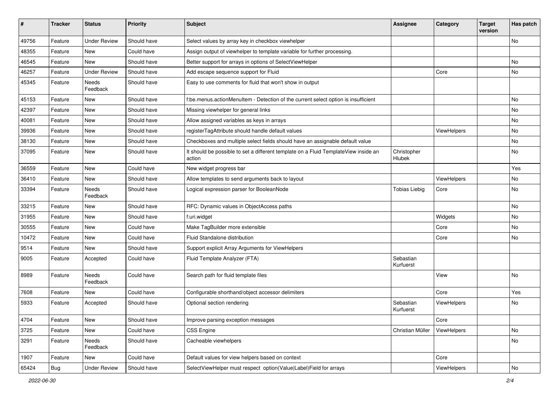| #     | <b>Tracker</b> | <b>Status</b>            | <b>Priority</b> | <b>Subject</b>                                                                                | Assignee               | Category    | <b>Target</b><br>version | Has patch |
|-------|----------------|--------------------------|-----------------|-----------------------------------------------------------------------------------------------|------------------------|-------------|--------------------------|-----------|
| 49756 | Feature        | <b>Under Review</b>      | Should have     | Select values by array key in checkbox viewhelper                                             |                        |             |                          | <b>No</b> |
| 48355 | Feature        | New                      | Could have      | Assign output of viewhelper to template variable for further processing.                      |                        |             |                          |           |
| 46545 | Feature        | New                      | Should have     | Better support for arrays in options of SelectViewHelper                                      |                        |             |                          | No        |
| 46257 | Feature        | <b>Under Review</b>      | Should have     | Add escape sequence support for Fluid                                                         |                        | Core        |                          | No        |
| 45345 | Feature        | Needs<br>Feedback        | Should have     | Easy to use comments for fluid that won't show in output                                      |                        |             |                          |           |
| 45153 | Feature        | New                      | Should have     | f:be.menus.actionMenuItem - Detection of the current select option is insufficient            |                        |             |                          | No        |
| 42397 | Feature        | <b>New</b>               | Should have     | Missing viewhelper for general links                                                          |                        |             |                          | No        |
| 40081 | Feature        | New                      | Should have     | Allow assigned variables as keys in arrays                                                    |                        |             |                          | No        |
| 39936 | Feature        | New                      | Should have     | registerTagAttribute should handle default values                                             |                        | ViewHelpers |                          | No        |
| 38130 | Feature        | New                      | Should have     | Checkboxes and multiple select fields should have an assignable default value                 |                        |             |                          | No        |
| 37095 | Feature        | New                      | Should have     | It should be possible to set a different template on a Fluid TemplateView inside an<br>action | Christopher<br>Hlubek  |             |                          | No        |
| 36559 | Feature        | <b>New</b>               | Could have      | New widget progress bar                                                                       |                        |             |                          | Yes       |
| 36410 | Feature        | New                      | Should have     | Allow templates to send arguments back to layout                                              |                        | ViewHelpers |                          | No        |
| 33394 | Feature        | Needs<br>Feedback        | Should have     | Logical expression parser for BooleanNode                                                     | <b>Tobias Liebig</b>   | Core        |                          | No        |
| 33215 | Feature        | New                      | Should have     | RFC: Dynamic values in ObjectAccess paths                                                     |                        |             |                          | <b>No</b> |
| 31955 | Feature        | New                      | Should have     | f:uri.widget                                                                                  |                        | Widgets     |                          | No        |
| 30555 | Feature        | New                      | Could have      | Make TagBuilder more extensible                                                               |                        | Core        |                          | No        |
| 10472 | Feature        | New                      | Could have      | Fluid Standalone distribution                                                                 |                        | Core        |                          | No        |
| 9514  | Feature        | New                      | Should have     | Support explicit Array Arguments for ViewHelpers                                              |                        |             |                          |           |
| 9005  | Feature        | Accepted                 | Could have      | Fluid Template Analyzer (FTA)                                                                 | Sebastian<br>Kurfuerst |             |                          |           |
| 8989  | Feature        | <b>Needs</b><br>Feedback | Could have      | Search path for fluid template files                                                          |                        | View        |                          | <b>No</b> |
| 7608  | Feature        | New                      | Could have      | Configurable shorthand/object accessor delimiters                                             |                        | Core        |                          | Yes       |
| 5933  | Feature        | Accepted                 | Should have     | Optional section rendering                                                                    | Sebastian<br>Kurfuerst | ViewHelpers |                          | No        |
| 4704  | Feature        | New                      | Should have     | Improve parsing exception messages                                                            |                        | Core        |                          |           |
| 3725  | Feature        | New                      | Could have      | CSS Engine                                                                                    | Christian Müller       | ViewHelpers |                          | No        |
| 3291  | Feature        | Needs<br>Feedback        | Should have     | Cacheable viewhelpers                                                                         |                        |             |                          | No        |
| 1907  | Feature        | New                      | Could have      | Default values for view helpers based on context                                              |                        | Core        |                          |           |
| 65424 | <b>Bug</b>     | <b>Under Review</b>      | Should have     | SelectViewHelper must respect option(Value Label)Field for arrays                             |                        | ViewHelpers |                          | No        |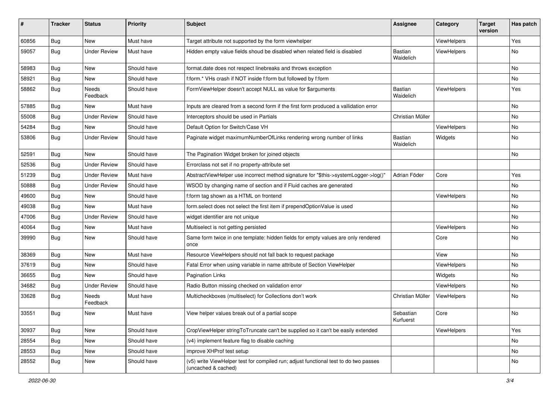| ∦     | <b>Tracker</b> | <b>Status</b>            | <b>Priority</b> | Subject                                                                                                     | <b>Assignee</b>             | Category           | <b>Target</b><br>version | Has patch |
|-------|----------------|--------------------------|-----------------|-------------------------------------------------------------------------------------------------------------|-----------------------------|--------------------|--------------------------|-----------|
| 60856 | Bug            | New                      | Must have       | Target attribute not supported by the form viewhelper                                                       |                             | ViewHelpers        |                          | Yes       |
| 59057 | Bug            | <b>Under Review</b>      | Must have       | Hidden empty value fields shoud be disabled when related field is disabled                                  | <b>Bastian</b><br>Waidelich | ViewHelpers        |                          | No        |
| 58983 | Bug            | <b>New</b>               | Should have     | format.date does not respect linebreaks and throws exception                                                |                             |                    |                          | No        |
| 58921 | Bug            | New                      | Should have     | f:form.* VHs crash if NOT inside f:form but followed by f:form                                              |                             |                    |                          | No        |
| 58862 | Bug            | <b>Needs</b><br>Feedback | Should have     | FormViewHelper doesn't accept NULL as value for \$arguments                                                 | <b>Bastian</b><br>Waidelich | <b>ViewHelpers</b> |                          | Yes       |
| 57885 | Bug            | New                      | Must have       | Inputs are cleared from a second form if the first form produced a vallidation error                        |                             |                    |                          | No        |
| 55008 | Bug            | <b>Under Review</b>      | Should have     | Interceptors should be used in Partials                                                                     | Christian Müller            |                    |                          | No        |
| 54284 | Bug            | New                      | Should have     | Default Option for Switch/Case VH                                                                           |                             | ViewHelpers        |                          | No        |
| 53806 | Bug            | <b>Under Review</b>      | Should have     | Paginate widget maximumNumberOfLinks rendering wrong number of links                                        | <b>Bastian</b><br>Waidelich | Widgets            |                          | No        |
| 52591 | Bug            | New                      | Should have     | The Pagination Widget broken for joined objects                                                             |                             |                    |                          | No        |
| 52536 | Bug            | <b>Under Review</b>      | Should have     | Errorclass not set if no property-attribute set                                                             |                             |                    |                          |           |
| 51239 | Bug            | <b>Under Review</b>      | Must have       | AbstractViewHelper use incorrect method signature for "\$this->systemLogger->log()"                         | Adrian Föder                | Core               |                          | Yes       |
| 50888 | Bug            | <b>Under Review</b>      | Should have     | WSOD by changing name of section and if Fluid caches are generated                                          |                             |                    |                          | No        |
| 49600 | Bug            | New                      | Should have     | f:form tag shown as a HTML on frontend                                                                      |                             | ViewHelpers        |                          | No        |
| 49038 | Bug            | New                      | Must have       | form.select does not select the first item if prependOptionValue is used                                    |                             |                    |                          | No.       |
| 47006 | Bug            | <b>Under Review</b>      | Should have     | widget identifier are not unique                                                                            |                             |                    |                          | No        |
| 40064 | Bug            | New                      | Must have       | Multiselect is not getting persisted                                                                        |                             | ViewHelpers        |                          | No        |
| 39990 | Bug            | New                      | Should have     | Same form twice in one template: hidden fields for empty values are only rendered<br>once                   |                             | Core               |                          | No        |
| 38369 | Bug            | New                      | Must have       | Resource ViewHelpers should not fall back to request package                                                |                             | View               |                          | No        |
| 37619 | <b>Bug</b>     | New                      | Should have     | Fatal Error when using variable in name attribute of Section ViewHelper                                     |                             | ViewHelpers        |                          | No        |
| 36655 | Bug            | <b>New</b>               | Should have     | <b>Pagination Links</b>                                                                                     |                             | Widgets            |                          | No        |
| 34682 | <b>Bug</b>     | <b>Under Review</b>      | Should have     | Radio Button missing checked on validation error                                                            |                             | ViewHelpers        |                          | No        |
| 33628 | <b>Bug</b>     | Needs<br>Feedback        | Must have       | Multicheckboxes (multiselect) for Collections don't work                                                    | Christian Müller            | ViewHelpers        |                          | No.       |
| 33551 | <b>Bug</b>     | New                      | Must have       | View helper values break out of a partial scope                                                             | Sebastian<br>Kurfuerst      | Core               |                          | No        |
| 30937 | Bug            | New                      | Should have     | CropViewHelper stringToTruncate can't be supplied so it can't be easily extended                            |                             | ViewHelpers        |                          | Yes       |
| 28554 | Bug            | New                      | Should have     | (v4) implement feature flag to disable caching                                                              |                             |                    |                          | No        |
| 28553 | <b>Bug</b>     | New                      | Should have     | improve XHProf test setup                                                                                   |                             |                    |                          | No        |
| 28552 | <b>Bug</b>     | New                      | Should have     | (v5) write ViewHelper test for compiled run; adjust functional test to do two passes<br>(uncached & cached) |                             |                    |                          | No        |